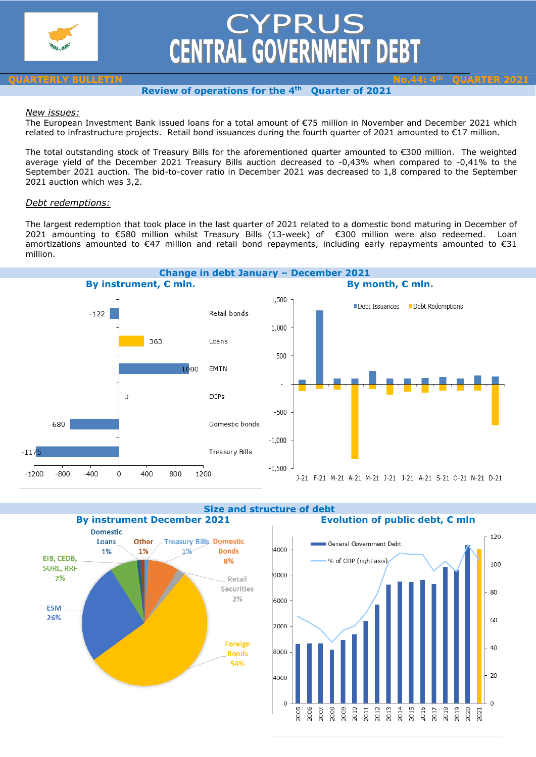

# CYPRUS<br>CENTRAL GOVERNMENT DEBT

### **QUARTERLY BULLETIN No.44: 4th QUARTER 2021 Review of operations for the 4th Quarter of 2021**

## *New issues:*

The European Investment Bank issued loans for a total amount of €75 million in November and December 2021 which related to infrastructure projects. Retail bond issuances during the fourth quarter of 2021 amounted to €17 million.

The total outstanding stock of Treasury Bills for the aforementioned quarter amounted to €300 million. The weighted average yield of the December 2021 Treasury Bills auction decreased to -0,43% when compared to -0,41% to the September 2021 auction. The bid-to-cover ratio in December 2021 was decreased to 1,8 compared to the September 2021 auction which was 3,2.

# *Debt redemptions:*

The largest redemption that took place in the last quarter of 2021 related to a domestic bond maturing in December of 2021 amounting to €580 million whilst Treasury Bills (13-week) of €300 million were also redeemed. Loan amortizations amounted to €47 million and retail bond repayments, including early repayments amounted to €31 million.